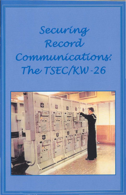# Securing Record Communications: The TSEC/KW-26

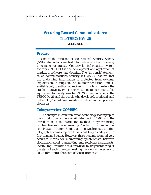# *Securing Record Communications: The TSEC/KW-26*

#### **Melville Klein**

#### *Preface*

One of the missions of the National Security Agency (NSA) is to protect classified information whether in storage, processing, or transit. Collectively, *information system security (INFOSEC)* is the development and application of hardware, software, and doctrine. The "in transit" element, called *communications security (COMSEC)*, assures that the underlying information is protected from external exploitation, disruption, or misrepresentation and is available only to authorized recipients. This brochure tells the cradle-to-grave story of highly successful *cryptographic* equipment for *teletypewriter* (TTY) communications, the TSEC/KW-26 and the people who developed, produced, and fielded it. (The *italicized words* are defined in the appended glossary.)

#### *Teletypewriter COMSEC*

The changes in communication technology leading up to the introduction of the KW-26 date back to 1907 with the introduction of the Start/Stop method of synchronizing printing telegraph equipment by Charles L. Krumm and his son, Howard Krumm. Until that time synchronous printing telegraph systems employed constant length codes, e.g., a five-element *Baudot.* However, these systems required very accurate means for maintaining synchronism between electromechanical transmitting and receiving instruments. "Start/Stop" overcame this drawback by resynchronizing at the start of each character, making it no longer necessary to accurately control the speed of the instruments.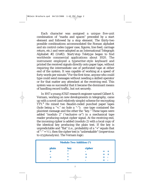Each character was assigned a unique five-unit combination of "marks and spaces" preceded by a start element and followed by a stop element. The thirty-two possible combinations accommodated the Roman alphabet and six control codes (upper case, figures, line feed, carriage return, etc.) and were adopted as an International Telegraph Alphabet #2 (IA#2). Start/stop *Teletype* began to find worldwide commercial applications about 1920. The instrument employed a typewriter-style keyboard and printed the received signals directly onto paper tape, without requiring the intermediate use of perforated tape at either end of the system. It was capable of working at a speed of forty words per minute.**<sup>1</sup>** For the first time, anyone who could type could send messages without needing a skilled operator or for that matter any attendant at the receiving end. This system was so successful that it became the dominant means of handling record traffic, but not securely.

In 1917 a young AT&T research engineer named Gilbert S. Vernam, working on new developments in telegraphy, came up with a novel (and relatively simple) scheme for encrypting TTY.**<sup>2</sup>** He mixed two Baudot-coded punched paper tapes (hole being a "+," no hole a "-"): one tape contained the *plaintext* message and the other the "*key*." These tapes were added "modulo 2" ("exclusive or") in a mechanical tape reader producing output *cipher* signal. At the receiving end, the incoming cipher is added (modulo 2) with a local copy of the identical key producing the plain text. If the key is unpredictable and "flat" (i.e., probability of a "+" equals that of  $\hat{f}$  =  $\frac{1}{2}$ ), then the cipher text is "unbreakable" (impervious to *cryptanalysis*). The Vernam logic:

| <b>Modulo Two Addition (*)</b> |        |        |  |
|--------------------------------|--------|--------|--|
| plain                          | key    | cipher |  |
|                                | $\ast$ |        |  |
|                                | *      |        |  |
|                                |        |        |  |
|                                | *      |        |  |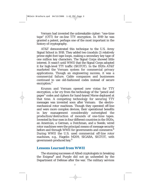Vernam had invented the unbreakable cipher: "*one-time tape*" (OTT) for *on-line* TTY encryption. In 1919 he was granted a patent, perhaps one of the most important in the history of cryptography.

AT&T demonstrated this technique to the U.S. Army Signal School in 1918. They added two (modulo 2) relatively prime eight-foot tape loops, making a secondary key tape of one million key characters. The Signal Corps showed little interest. It wasn't until WWII that the Signal Corps adopted it for high-level TTY traffic (SIGTOT). In the 1920s AT&T marketed the Vernam system for commercial privacy applications. Though an engineering success, it was a commercial failure. Cable companies and businesses continued to use old-fashioned *codes* instead of secure encryption.**<sup>3</sup>**

Krumm and Vernam opened new vistas for TTY encryption, a far cry from the technology of the "pencil and paper" codes and ciphers for hand-keyed Morse deployed at that time. A competing technology for securing TTY messages was invented soon after Vernam: the electromechanical rotor machines. Though they operated off-line and were more complex devices, their operational benefits in key management considerably outweighed the production/destruction of mounds of *one-time* tapes. Invented by four men in four different countries in the 1920s, an American, a German, a Dutchman, and a Swede, wired rotor machines were the principal means of message security before and through WWII for governments and commerce.**<sup>4</sup>** During WWII the U.S. used commercial off-line rotor machines, e.g., Hagelin M209, SIGABA, SIGTOT, with government-produced key.**<sup>5</sup>**

#### *Lessons Learned from WWII*

The stunning successes of Allied cryptologists in breaking the Enigma**<sup>6</sup>** and Purple did not go unheeded by the Department of Defense after the war. The military services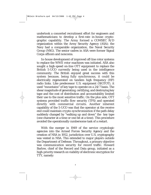undertook a concerted recruitment effort for engineers and mathematicians to develop a first-rate in-house cryptographic capability. The Army formed a COMSEC R/D organization within the Army Security Agency (ASA); the Navy had a comparable organization, the Naval Security Group (NSG). The senior cadres in ASA were former Signal Corps officers and noncoms.

In-house development of improved off-line rotor systems to replace the WWII rotor machines was initiated. ASA also sought a high-speed on-line OTT equipment to replace the British 5-UCO currently being used in the intelligence community. The British enjoyed great success with this system because, being fully synchronous, it could be electrically regenerated on tandem high frequency (HF) radio links. Like predecessor U.S. equipment (SIGTOT), it used "mountains" of key tape to operate on a 24/7 basis. The shear magnitude of generating, certifying, and destroying key tape and the cost of distribution and accountability limited their use to the most sensitive traffic. On the plus side, OTT systems provided *traffic flow security (TFS)* and operated directly with commercial circuits. Another inherent capability of the 5-UCO was that the operator at the receive end could maintain *crypto-synchronization* if the path delay suddenly changed by "walking up and down" the key tape (one character at a time or one bit at a time). This procedure avoided the operationally cumbersome task of a restart.

With the merger in 1949 of the service cryptologic agencies into the Armed Forces Security Agency and the creation of NSA in 1952, jurisdiction over U.S. cryptography was vested in NSA. This extended to major players outside the Department of Defense. Throughout, a primary objective was *communication security* for record traffic. Howard Barlow, chief of the Record and Data group, initiated as a high-priority research on viability of electronic encryption for TTY, namely: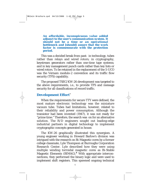*An affordable, inconspicuous value added adjunct to the user's communication system. It should not be a time or an operational bottleneck and [should] assure that the work factor is commensurate with the protection period.*

This was a decided break from past: in technology, tubes rather than relays and wired rotors; in cryptography, keystream generators rather than one-time tape systems; and in key management punch cards rather than key lists or wired rotors. To be retained in the replacement of the 5-UCO was the Vernam modulo-2 convention and its traffic flow security (TFS) capability.

The proposed TSEC/KW-26 development was targeted to the above requirements, i.e., to provide TFS and message security for all classifications of record traffic.

#### *Development Effort***<sup>7</sup>**

When the requirements for secure TTY were defined, the most mature electronic technology was the miniature vacuum tube. Tubes had limitations, however, related to their reliability and power consumption. Although the transistor had been invented (1947), it was not ready for "prime time." Therefore, the search was on for an alternative solution. The R/D engineers sought out leading-edge industrial partners in digital technology to implement cryptographic concepts generated in house.

The KW-26 graphically illustrated this synergism. A young engineer working in Howard Barlow's division was intrigued with the research on Bi-Magnetic cores by a former college classmate, Lyle Thompson at Burroughs Corporation Research Center. Lyle described how they were using multiple winding torroidal magnetic cores as Bi-Stable Magnetic Elements (BIMAG).**<sup>8</sup>** With appropriate interconnections, they performed the binary logic and were used to implement shift registers. This spawned ongoing technical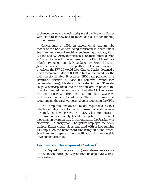exchanges between the logic designers at the Research Center with Howard Barlow and members of his staff for funding further research.

Concurrently in 1952, an experimental vacuum tube model of the KW-26 was being fabricated in house under Joe Hannan, a recent electrical engineering graduate, Vern Zeigler, and two Army technicians. Joe's team breadboarded a "proof of concept" model based on the Dick Chiles/Dick Marsh cryptologic and I/O guidance by Frank Mitchell, Joe's supervisor, for the plethora of communication interfaces the KW-26 would face. Charles Napier designed a novel *common fill device (CFD)*, a first of the breed, for the daily crypto-variable. It used an IBM card punched in a RemRand format (45 vice 80 columns, round vice rectangular holes). His design, fabricated in the R/D model shop, was incorporated into the breadboard. In practice the operator inserted the daily *key card* into the CFD and closed the door securely, locking the card in place. COMSEC doctrine did not permit card re-use. Therefore, to meet this requirement, the card was severed upon reopening the CFD.

The completed breadboard model required a six-foot telephone relay rack for each transmitter and receiver terminal. In 1954 TCOM, the NSA telecommunication organization, successfully tested the system on a circuit looped at an overseas site. It demonstrated the feasibility of electronic TTY encryption. The system employed the newly devised Koken crypto-*algorithm* used with a free-running TTY input. As the breadboard was being built and tested, Joe Hannan prepared the specification for an outside development contract.

### *Engineering Development Contract***<sup>9</sup>**

The Request for Proposal (RFP) was released sole source in 1953 to the Burroughs Corporation. Its objectives were to demonstrate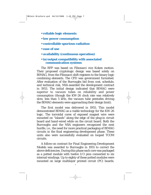- **reliable logic elements**
- **low power consumption**
- **controllable spurious radiation**
- **ease of use**
- **availability (continuous operation)**

#### **• in/output compatibility with associated communication systems**

The RFP was based on Fibonacci vice Koken motion. Their proposed cryptologic design was based solely on BIMAG, from the Fibonacci shift registers to the binary logic combining elements. The CFD was government furnished. After evaluation of the Burroughs bid from cost, schedule, and technical risk, NSA awarded the development contract in 1953. The initial design indicated that BIMAG were superior to vacuum tubes on reliability and power consumption (though the KW-26 clock rate was relatively slow, less than 5 kHz, the vacuum tube pentodes driving the BIMAG elements were approaching their design limit).

The first model was delivered in 1955. This model demonstrated BIMAG as a viable technology for the KW-26 logic. The torroidal cores of exposed magnet wire were mounted on "islands" along the edge of the plug-in circuit board and hand-wired while on the circuit board. Both the Burroughs and the NSA engineers recognized the next hurdle, i.e., the need for more practical packaging of BIMAG circuits in the final engineering development phase. These units also were successfully evaluated on looped TCOM circuits.

A follow-on contract for Final Engineering Development Models was awarded to Burroughs in 1955 to correct the above deficiencies. During this phase each core was packaged as a potted module with twelve I/O pins connected to six internal windings. Up to eighty of these potted modules were mounted on large multilayer printed circuit (PC) boards.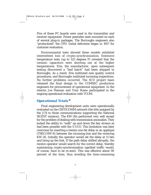Five of these PC boards were used in the transmitter and receiver equipment. Power pentodes were mounted on each of several plug-in packages. The Burroughs engineers also "productized" the CFD. Initial deliveries began in 1957 for customer evaluation.

Environmental tests showed these models exhibited intermittent loss of *crypto-synchronization*. Extensive temperature tests (up to 125 degrees F) revealed that the ceramic capacitors were shorting out at the higher temperatures. Erie, the manufacturer, upon subsequent testing discovered a "bad batch" had been shipped to Burroughs. As a result, Erie instituted new quality control procedures, and Burroughs instituted incoming inspections. No further problems occurred. The R/D project team released the final design to the COMSEC production engineers for procurement of operational equipment. In the interim Joe Hannan and Tony Russo participated in the ongoing operational evaluation with TCOM.

### *Operational Trials* **<sup>10</sup>**

Final engineering development units were operationally evaluated on the *CRITICOMM* network (the title assigned by the JCS to those communications supporting the National SIGINT mission). The KW-26s performed very well except for the problem of dealing with transmission anomalies. They lacked the ability to "walk" up and down the *key stream* as had been possible with the 5-UCO. This limitation was later overcome by inserting a twenty-one-bit delay in an appliqué (TSEC/HW-8) between the incoming line and the receiving KW-26. Initially the operator would set the delay at 11 bits and bring up the link. If the path delay shifted abruptly, the receive operator would search for the correct delay, thereby maintaining crypto-synchronization (garbled traffic would, of course, have to be re-sent). This was effective about 90 percent of the time, thus avoiding the time-consuming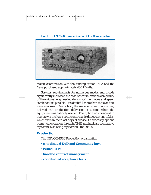*Fig. 1. TSEC/HW-8, Transmission Delay Compensator*



restart coordination with the sending station. NSA and the Navy purchased approximately 450 HW-8s.

Services' requirements for numerous modes and speeds significantly increased the cost, schedule, and the complexity of the original engineering design. Of the modes and speed combinations possible, it is doubtful more than three or four were ever used. One option, the so-called speed normalizer, delayed the production deliveries at a time when the equipment was critically needed. This option was designed to operate via the low-speed transoceanic direct current cables, which were in their last days of service. Other costly options permitted operation through AT&T mechanical regenerative repeaters, also being replaced in the 1960s.

#### *Production*

The NSA COMSEC Production organization

- **coordinated DoD and Community buys**
- **issued RFPs**
- **handled contract management**
- **coordinated acceptance tests**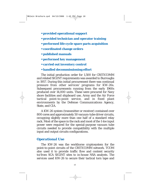- **provided operational support**
- **provided technician and operator training**
- **performed life-cycle spare parts acquisition**
- **coordinated change orders**
- **published manuals**
- **performed key management**
- **carried out inventory control**
- **handled decommissioning effort**

The initial production order for 1,500 for CRITICOMM and related SIGINT requirements was awarded to Burroughs in 1957. During this initial procurement there was continual pressure from other services' programs for KW-26s. Subsequent procurements running from the early 1960s produced over 14,000 units. These were procured for Navy shore facilities and shipboard use, Army and the Air Force tactical point-to-point service, and in fixed plant environments by the Defense Communications Agency, State, and CIA.

A KW-26 system (transmitter or receiver) contained over 800 cores and approximately 50 vacuum-tube driver circuits, occupying slightly more than one half of a standard relay rack. Most of the space in the rack and most of the 1-kw input power were required for the special-purpose vacuum tube circuits needed to provide compatibility with the multiple input and output circuits configurations.

#### *Operational Use*

The KW-26 was the workhorse cryptosystem for the point-to-point circuits of the CRITICOMM network. TCOM also used it to provide traffic flow and content security to/from SCA SIGINT sites to in-house NSA analysts. The services used KW-26 to secure their tactical torn tape and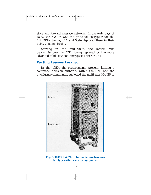store and forward message networks. In the early days of DCA, the KW-26 was the principal encryptor for the AUTODIN trunks; CIA and State deployed them in their point-to-point circuits.

Starting in the mid-1980s, the system was decommissioned by NSA, being replaced by the more advanced solid-state data encryptor, TSEC/KG-84.

#### *Parting Lessons Learned*

In the 1950s the requirements process, lacking a command decision authority within the DoD and the intelligence community, subjected the multi-user KW-26 to



#### *Fig. 2. TSEC/KW-26C, electronic synchronous teletypewriter security equipment*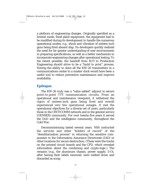a plethora of engineering changes. Originally specified as a limited mode, fixed-plant equipment, the equipment had to be modified during its development to handle the numerous operational modes, e.g., shock and vibration of sixteen-inch guns being fired aboard ship. Its developers quickly realized the need for far greater understanding of user environments in preparing specifications, as well as a better mechanism to incorporate engineering changes after operational testing. To the extent possible, the handoff from R/D to Production Engineering should strive to be a "build to print" process. Having the ability to slave all the KW-26 transmitters in a communications center to a master clock would have been a useful tool to reduce preventive maintenance and improve availability.

## *Epilogue*

The KW-26 truly was a "value added" adjunct to secure point-to-point TTY communication circuits. From an operational and maintenance viewpoint, it withstood the rigors of sixteen-inch guns being fired and overall experienced very few operational outages. It met the operational objectives for a diverse set of users, particularly those in the CRITICOMM network and in the general service (GENSER) community. For over twenty-five years it served the DoD and the intelligence community, throughout the Cold War.

Decommissioning lasted several years. NSA instructed the services and other "holders of record" of the "demilitarization process" in returning the sensitive components to the Information Assurance Directorate (IAD) or other locations for secure destruction. (These were the tracks on the printed circuit boards and the CFD, which revealed information about the combining and crypto-logic.) The remains (e.g., the aluminum chassis, power supply, I/O), after having their labels removed, were melted down and discarded as scrap.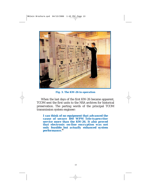

*Fig. 3. The KW-26 in operation*

When the last days of the first KW-26 became apparent, TCOM sent the first units to the NSA archives for historical preservation. The parting words of the principal TCOM transmission system engineer:

*I can think of no equipment that advanced the cause of secure 100 WPM Tele-typewriter service more than the KW-26. It also proved that electronic on-line encryption was not only feasible but actually enhanced system performance.***<sup>11</sup>**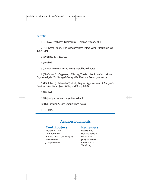#### *Notes*

1 (U) J.W. Freebody, *Telegraphy* (Sir Isaac Pitman, 1958)

2 (U) David Kahn, *The Codebreakers* (New York: Macmillan Co., 1967), 394

3 (U) Ibid., 397, 411, 421

4 (U) Ibid.

5 (U) Earl Flowers, David Boak: unpublished notes

6 (U) Center for Cryptologic History, *The Bombe: Prelude to Modern Cryptanalysis* (Ft. George Meade, MD: National Security Agency)

7 (U) Albert J. Meyerhoff, et al., *Digital Applications of Magnetic Devices* (New York: John Wiley and Sons, 1960)

8 (U) Ibid.

9 (U) Joseph Hannan: unpublished notes

10 (U) Richard A. Day: unpublished notes

11 (U) Ibid.

#### **Acknowledgments**

#### *Contributors Reviewers*

Richard A. Day Robert Alde Don Burkness **Howard Barlow** Stanley Disson (Burroughs) David Boak Earl Flowers Jerry Moskowitz Joseph Hannan Richard Proto

Tom Prugh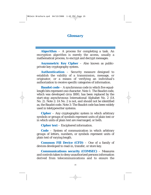#### *Glossary*

**Algorithm** – A process for completing a task. An encryption algorithm is merely the access, usually a mathematical process, to encrypt and decrypt messages.

**Asymmetric Key Cipher** – Also known as publicprivate key cryptography system.

**Authentication** – Security measure designed to establish the validity of a transmission, message, or originator, or a means of verifying an individual's authorization to receive specific categories of information.

**Baudot code** – A synchronous code in which five equallength bits represent one character. Note 1: The Baudot code, which was developed circa 1880, has been replaced by the start-stop asynchronous International Alphabet No. 2 (IA No. 2). Note 2: IA No. 2 is not, and should not be identified as, the Baudot code. Note 3: The Baudot code has been widely used in teletypewriter systems.

**Cipher** – Any cryptographic system in which arbitrary symbols or groups of symbols represent units of plain text or in which units of plain text are rearranged, or both.

**Cipher text** – Enciphered information.

**Code** – System of communication in which arbitrary groups of letters, numbers, or symbols represent units of plain text of varying length.

**Common Fill Device (CFD)** – One of a family of devices developed to read-in, transfer, or store key.

**Communications security (COMSEC)** – Measures and controls taken to deny unauthorized persons information derived from telecommunications and to ensure the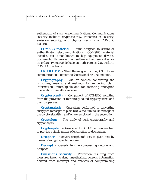authenticity of such telecommunications. Communications security includes cryptosecurity, transmission security, emission security, and physical security of COMSEC material.

**COMSEC material** – Items designed to secure or authenticate telecommunications. COMSEC material includes, but is not limited to, key, equipment, devices, documents, firmware, or software that embodies or describes cryptographic logic and other items that perform COMSEC functions.

**CRITICOMM** – The title assigned by the JCS to those communications supporting the national SIGINT mission.

**Cryptography** – Art or science concerning the principles, means, and methods for rendering plain information unintelligible and for restoring encrypted information to intelligible form.

**Cryptosecurity** – Component of COMSEC resulting from the provision of technically sound cryptosystems and their proper use.

**Cryptanalysis** – Operations performed in converting encrypted messages to plain text without initial knowledge of the crypto-algorithm and/or key employed in the encryption.

**Cryptology** – The study of both cryptography and cryptanalysis.

**Cryptosystem** – Associated INFOSEC items interacting to provide a single means of encryption or decryption.

**Decipher** – Convert enciphered text to plain text by means of a cryptographic system.

**Decrypt** – Generic term encompassing decode and decipher.

**Emissions security** – Protection resulting from measures taken to deny unauthorized persons information derived from intercept and analysis of compromising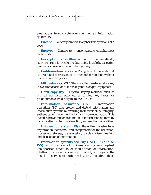emanations from crypto-equipment or an Information System (IS).

**Encode** – Convert plain text to cipher text by means of a code.

**Encrypt** – Generic term encompassing encipherment and encoding.

**Encryption algorithm** – Set of mathematically expressed rules for rendering data unintelligible by executing a series of conversions controlled by a key.

**End-to-end encryption** – Encryption of information at its origin and decryption at its intended destination without intermediate decryption.

Fill **device** – COMSEC item used to transfer or store key in electronic form or to insert key into a crypto-equipment.

**Hard copy key** – Physical keying material, such as printed key lists, punched or printed key tapes, or programmable, read-only memories (PROM).

**Information Assurance (IA)** – Information operations (IO) that protect and defend information and information systems by ensuring their availability, integrity, authentication, confidentiality, and nonrepudiation. This includes providing for restoration of information systems by incorporating protection, detection, and reaction capabilities.

**Information System (IS)** – the entire infrastructure, organization, personnel, and components for the collection, processing, storage, transmission, display, dissemination, and disposition of information.

**Information systems security (INFOSEC and/or ISS)** – Protection of information systems against unauthorized access to or modification of information, whether in storage, processing or transit, and against the denial of service to authorized users, including those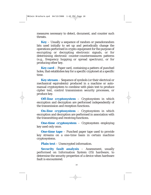measures necessary to detect, document, and counter such threats.

**Key** – Usually a sequence of random or pseudorandom bits used initially to set up and periodically change the operations performed in crypto-equipment for the purpose of encrypting or decrypting electronic signals, or for determining electronic counter-countermeasures patterns (e.g., frequency hopping or spread spectrum), or for producing other key.

**Key card** – Paper card, containing a pattern of punched holes, that establishes key for a specific cryptonet at a specific time.

**Key stream** – Sequence of symbols (or their electrical or mechanical equivalents) produced in a machine or automanual cryptosystem to combine with plain text to produce cipher text, control transmission security processes, or produce key.

**Off-line cryptosystem** – Cryptosystem in which encryption and decryption are performed independently of the transmission and reception functions.

**On-line cryptosystem** – Cryptosystem in which encryption and decryption are performed in association with the transmitting and receiving functions.

**One-time cryptosystem** – Cryptosystem employing key used only once.

**One-time tape** – Punched paper tape used to provide key streams on a one-time basis in certain machine cryptosystems.

**Plain text** – Unencrypted information.

**Security fault analysis** – Assessment, usually performed on Information System (IS) hardware, to determine the security properties of a device when hardware fault is encountered.